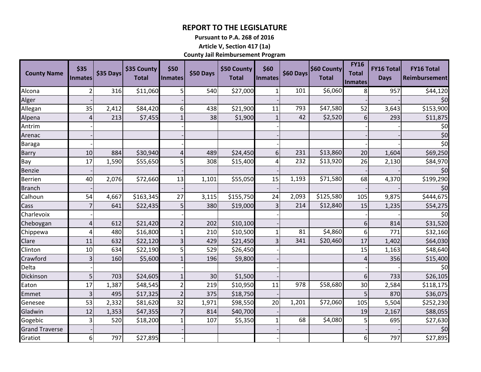## **REPORT TO THE LEGISLATURE**

**Pursuant to P.A. 268 of 2016**

**Article V, Section 417 (1a)**

**County Jail Reimbursement Program**

| <b>County Name</b>    | \$35<br><b>Inmates</b> | \$35 Days | \$35 County<br><b>Total</b> | \$50<br>Inmates         | \$50 Days | \$50 County<br><b>Total</b> | \$60<br><b>Inmates</b> | \$60 Days | \$60 County<br><b>Total</b> | <b>FY16</b><br><b>Total</b><br><b>Inmates</b> | <b>FY16 Total</b><br><b>Days</b> | <b>FY16 Total</b><br><b>Reimbursement</b> |
|-----------------------|------------------------|-----------|-----------------------------|-------------------------|-----------|-----------------------------|------------------------|-----------|-----------------------------|-----------------------------------------------|----------------------------------|-------------------------------------------|
| Alcona                | $\overline{2}$         | 316       | \$11,060                    | 5                       | 540       | \$27,000                    | 1                      | 101       | \$6,060                     | 8 <sup>1</sup>                                | 957                              | \$44,120                                  |
| Alger                 |                        |           |                             |                         |           |                             |                        |           |                             |                                               |                                  | \$0                                       |
| Allegan               | 35                     | 2,412     | \$84,420                    | 6                       | 438       | \$21,900                    | 11                     | 793       | \$47,580                    | 52                                            | 3,643                            | \$153,900                                 |
| Alpena                | 4                      | 213       | \$7,455                     | $\mathbf{1}$            | 38        | \$1,900                     |                        | 42        | \$2,520                     | 6 <sup>1</sup>                                | 293                              | \$11,875                                  |
| Antrim                |                        |           |                             |                         |           |                             |                        |           |                             |                                               |                                  | \$0                                       |
| Arenac                |                        |           |                             |                         |           |                             |                        |           |                             |                                               |                                  | \$0                                       |
| Baraga                |                        |           |                             |                         |           |                             |                        |           |                             |                                               |                                  | \$0                                       |
| Barry                 | 10                     | 884       | \$30,940                    | 4                       | 489       | \$24,450                    | 6                      | 231       | \$13,860                    | 20                                            | 1,604                            | \$69,250                                  |
| Bay                   | 17                     | 1,590     | \$55,650                    | 5                       | 308       | \$15,400                    | Δ                      | 232       | \$13,920                    | 26                                            | 2,130                            | \$84,970                                  |
| <b>Benzie</b>         |                        |           |                             |                         |           |                             |                        |           |                             |                                               |                                  | \$0                                       |
| <b>Berrien</b>        | 40                     | 2,076     | \$72,660                    | 13                      | 1,101     | \$55,050                    | 15                     | 1,193     | \$71,580                    | 68                                            | 4,370                            | \$199,290                                 |
| <b>Branch</b>         |                        |           |                             |                         |           |                             |                        |           |                             |                                               |                                  | \$0                                       |
| Calhoun               | 54                     | 4,667     | \$163,345                   | 27                      | 3,115     | \$155,750                   | 24                     | 2,093     | \$125,580                   | 105                                           | 9,875                            | \$444,675                                 |
| Cass                  |                        | 641       | \$22,435                    | 5                       | 380       | \$19,000                    | $\mathbf{3}$           | 214       | \$12,840                    | 15                                            | 1,235                            | \$54,275                                  |
| Charlevoix            |                        |           |                             |                         |           |                             |                        |           |                             |                                               |                                  | \$0                                       |
| Cheboygan             | 4                      | 612       | \$21,420                    | $\overline{2}$          | 202       | \$10,100                    |                        |           |                             | $6 \overline{6}$                              | 814                              | \$31,520                                  |
| Chippewa              | 4                      | 480       | \$16,800                    | 1                       | 210       | \$10,500                    |                        | 81        | \$4,860                     | $6 \mid$                                      | 771                              | \$32,160                                  |
| Clare                 | 11                     | 632       | \$22,120                    | $\overline{\mathbf{3}}$ | 429       | \$21,450                    |                        | 341       | \$20,460                    | 17                                            | 1,402                            | \$64,030                                  |
| Clinton               | 10                     | 634       | \$22,190                    | 5                       | 529       | \$26,450                    |                        |           |                             | 15                                            | 1,163                            | \$48,640                                  |
| Crawford              | 3                      | 160       | \$5,600                     | $\mathbf{1}$            | 196       | \$9,800                     |                        |           |                             | 4                                             | 356                              | \$15,400                                  |
| Delta                 |                        |           |                             |                         |           |                             |                        |           |                             |                                               |                                  | \$0                                       |
| Dickinson             | 5                      | 703       | \$24,605                    | $\mathbf{1}$            | 30        | \$1,500                     |                        |           |                             | $6 \overline{6}$                              | 733                              | \$26,105                                  |
| Eaton                 | 17                     | 1,387     | \$48,545                    | $\overline{2}$          | 219       | \$10,950                    | 11                     | 978       | \$58,680                    | 30                                            | 2,584                            | \$118,175                                 |
| Emmet                 | 3                      | 495       | \$17,325                    | $\overline{2}$          | 375       | \$18,750                    |                        |           |                             | 5                                             | 870                              | \$36,075                                  |
| Genesee               | 53                     | 2,332     | \$81,620                    | 32                      | 1,971     | \$98,550                    | 20                     | 1,201     | \$72,060                    | 105                                           | 5,504                            | \$252,230                                 |
| Gladwin               | 12                     | 1,353     | \$47,355                    | $\overline{7}$          | 814       | \$40,700                    |                        |           |                             | 19                                            | 2,167                            | \$88,055                                  |
| Gogebic               | 3                      | 520       | \$18,200                    | $\mathbf{1}$            | 107       | \$5,350                     |                        | 68        | \$4,080                     | 5                                             | 695                              | \$27,630                                  |
| <b>Grand Traverse</b> |                        |           |                             |                         |           |                             |                        |           |                             |                                               |                                  | \$0                                       |
| Gratiot               | 6 <sup>1</sup>         | 797       | \$27,895                    |                         |           |                             |                        |           |                             | $6 \mid$                                      | 797                              | \$27,895                                  |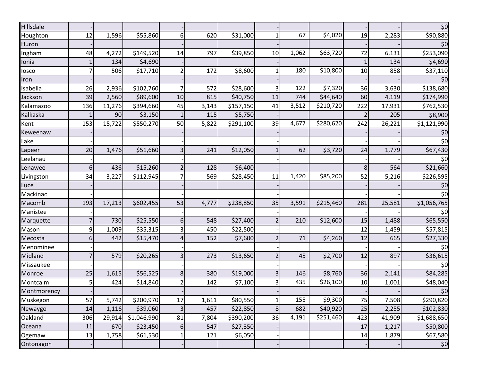| Hillsdale   |                |        |             |                         |       |           |               |       |           |                |        | \$0         |
|-------------|----------------|--------|-------------|-------------------------|-------|-----------|---------------|-------|-----------|----------------|--------|-------------|
| Houghton    | 12             | 1,596  | \$55,860    | $6 \mid$                | 620   | \$31,000  |               | 67    | \$4,020   | 19             | 2,283  | \$90,880    |
| Huron       |                |        |             |                         |       |           |               |       |           |                |        | \$0         |
| Ingham      | 48             | 4,272  | \$149,520   | 14                      | 797   | \$39,850  | 10            | 1,062 | \$63,720  | 72             | 6,131  | \$253,090   |
| Ionia       | 1              | 134    | \$4,690     |                         |       |           |               |       |           | 1              | 134    | \$4,690     |
| losco       | $\overline{7}$ | 506    | \$17,710    | 2                       | 172   | \$8,600   |               | 180   | \$10,800  | 10             | 858    | \$37,110    |
| Iron        |                |        |             |                         |       |           |               |       |           |                |        | \$0         |
| Isabella    | 26             | 2,936  | \$102,760   |                         | 572   | \$28,600  |               | 122   | \$7,320   | 36             | 3,630  | \$138,680   |
| Jackson     | 39             | 2,560  | \$89,600    | 10                      | 815   | \$40,750  | 11            | 744   | \$44,640  | 60             | 4,119  | \$174,990   |
| Kalamazoo   | 136            | 11,276 | \$394,660   | 45                      | 3,143 | \$157,150 | 41            | 3,512 | \$210,720 | 222            | 17,931 | \$762,530   |
| Kalkaska    |                | 90     | \$3,150     | $\mathbf{1}$            | 115   | \$5,750   |               |       |           | $\overline{2}$ | 205    | \$8,900     |
| Kent        | 153            | 15,722 | \$550,270   | 50                      | 5,822 | \$291,100 | 39            | 4,677 | \$280,620 | 242            | 26,221 | \$1,121,990 |
| Keweenaw    |                |        |             |                         |       |           |               |       |           |                |        | \$0         |
| Lake        |                |        |             |                         |       |           |               |       |           |                |        | \$0         |
| Lapeer      | 20             | 1,476  | \$51,660    | 31                      | 241   | \$12,050  |               | 62    | \$3,720   | 24             | 1,779  | \$67,430    |
| Leelanau    |                |        |             |                         |       |           |               |       |           |                |        | \$0         |
| Lenawee     | 6              | 436    | \$15,260    |                         | 128   | \$6,400   |               |       |           | 8              | 564    | \$21,660    |
| Livingston  | 34             | 3,227  | \$112,945   |                         | 569   | \$28,450  | 11            | 1,420 | \$85,200  | 52             | 5,216  | \$226,595   |
| Luce        |                |        |             |                         |       |           |               |       |           |                |        | \$0         |
| Mackinac    |                |        |             |                         |       |           |               |       |           |                |        | \$0         |
| Macomb      | 193            | 17,213 | \$602,455   | 53                      | 4,777 | \$238,850 | 35            | 3,591 | \$215,460 | 281            | 25,581 | \$1,056,765 |
| Manistee    |                |        |             |                         |       |           |               |       |           |                |        | \$0         |
| Marquette   | $\overline{7}$ | 730    | \$25,550    | 6                       | 548   | \$27,400  | $\mathcal{I}$ | 210   | \$12,600  | 15             | 1,488  | \$65,550    |
| Mason       | 9              | 1,009  | \$35,315    | $\overline{3}$          | 450   | \$22,500  |               |       |           | 12             | 1,459  | \$57,815    |
| Mecosta     | 6              | 442    | \$15,470    | 4                       | 152   | \$7,600   |               | 71    | \$4,260   | 12             | 665    | \$27,330    |
| Menominee   |                |        |             |                         |       |           |               |       |           |                |        | \$0         |
| Midland     | $\overline{7}$ | 579    | \$20,265    | 3 <sup>1</sup>          | 273   | \$13,650  |               | 45    | \$2,700   | 12             | 897    | \$36,615    |
| Missaukee   |                |        |             |                         |       |           |               |       |           |                |        | \$0         |
| Monroe      | 25             | 1,615  | \$56,525    | 8 <sup>1</sup>          | 380   | \$19,000  | 3             | 146   | \$8,760   | 36             | 2,141  | \$84,285    |
| Montcalm    | 5              | 424    | \$14,840    | $\overline{2}$          | 142   | \$7,100   |               | 435   | \$26,100  | 10             | 1,001  | \$48,040    |
| Montmorency |                |        |             |                         |       |           |               |       |           |                |        | \$0         |
| Muskegon    | 57             | 5,742  | \$200,970   | 17                      | 1,611 | \$80,550  | 1             | 155   | \$9,300   | 75             | 7,508  | \$290,820   |
| Newaygo     | 14             | 1,116  | \$39,060    | $\overline{\mathbf{3}}$ | 457   | \$22,850  | 8             | 682   | \$40,920  | 25             | 2,255  | \$102,830   |
| Oakland     | 306            | 29,914 | \$1,046,990 | 81                      | 7,804 | \$390,200 | 36            | 4,191 | \$251,460 | 423            | 41,909 | \$1,688,650 |
| Oceana      | 11             | 670    | \$23,450    | 6                       | 547   | \$27,350  |               |       |           | 17             | 1,217  | \$50,800    |
| Ogemaw      | 13             | 1,758  | \$61,530    | $\mathbf{1}$            | 121   | \$6,050   |               |       |           | 14             | 1,879  | \$67,580    |
| Ontonagon   |                |        |             |                         |       |           |               |       |           |                |        | \$0         |